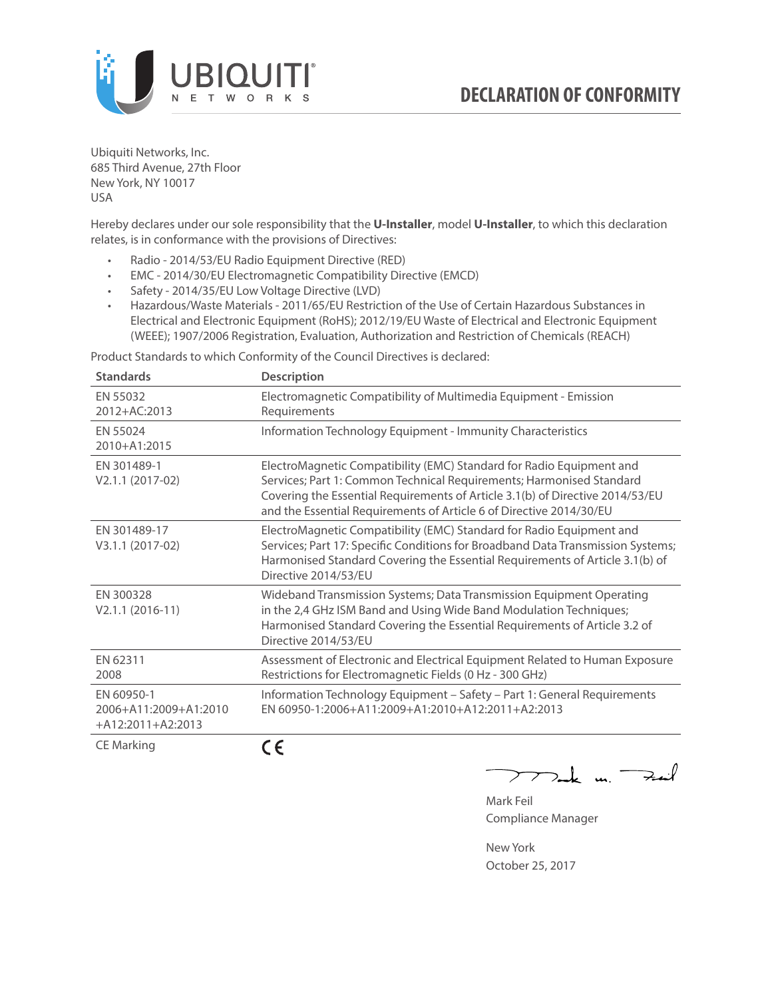

Ubiquiti Networks, Inc. 685 Third Avenue, 27th Floor New York, NY 10017 USA

Hereby declares under our sole responsibility that the **U-Installer**, model **U-Installer**, to which this declaration relates, is in conformance with the provisions of Directives:

- Radio 2014/53/EU Radio Equipment Directive (RED)
- EMC 2014/30/EU Electromagnetic Compatibility Directive (EMCD)
- Safety 2014/35/EU Low Voltage Directive (LVD)
- Hazardous/Waste Materials 2011/65/EU Restriction of the Use of Certain Hazardous Substances in Electrical and Electronic Equipment (RoHS); 2012/19/EU Waste of Electrical and Electronic Equipment (WEEE); 1907/2006 Registration, Evaluation, Authorization and Restriction of Chemicals (REACH)

Product Standards to which Conformity of the Council Directives is declared:

| <b>Standards</b>                                         | <b>Description</b>                                                                                                                                                                                                                                                                                   |
|----------------------------------------------------------|------------------------------------------------------------------------------------------------------------------------------------------------------------------------------------------------------------------------------------------------------------------------------------------------------|
| EN 55032<br>2012+AC:2013                                 | Electromagnetic Compatibility of Multimedia Equipment - Emission<br>Requirements                                                                                                                                                                                                                     |
| EN 55024<br>2010+A1:2015                                 | Information Technology Equipment - Immunity Characteristics                                                                                                                                                                                                                                          |
| EN 301489-1<br>V2.1.1 (2017-02)                          | ElectroMagnetic Compatibility (EMC) Standard for Radio Equipment and<br>Services; Part 1: Common Technical Requirements; Harmonised Standard<br>Covering the Essential Requirements of Article 3.1(b) of Directive 2014/53/EU<br>and the Essential Requirements of Article 6 of Directive 2014/30/EU |
| EN 301489-17<br>V3.1.1 (2017-02)                         | ElectroMagnetic Compatibility (EMC) Standard for Radio Equipment and<br>Services; Part 17: Specific Conditions for Broadband Data Transmission Systems;<br>Harmonised Standard Covering the Essential Requirements of Article 3.1(b) of<br>Directive 2014/53/FU                                      |
| EN 300328<br>$V2.1.1 (2016-11)$                          | Wideband Transmission Systems; Data Transmission Equipment Operating<br>in the 2,4 GHz ISM Band and Using Wide Band Modulation Techniques;<br>Harmonised Standard Covering the Essential Requirements of Article 3.2 of<br>Directive 2014/53/EU                                                      |
| FN 62311<br>2008                                         | Assessment of Electronic and Electrical Equipment Related to Human Exposure<br>Restrictions for Electromagnetic Fields (0 Hz - 300 GHz)                                                                                                                                                              |
| EN 60950-1<br>2006+A11:2009+A1:2010<br>+A12:2011+A2:2013 | Information Technology Equipment - Safety - Part 1: General Requirements<br>EN 60950-1:2006+A11:2009+A1:2010+A12:2011+A2:2013                                                                                                                                                                        |
| <b>CE Marking</b>                                        | (E                                                                                                                                                                                                                                                                                                   |

C E

كمنعة Je m. <sup>-</sup>

Mark Feil Compliance Manager

New York October 25, 2017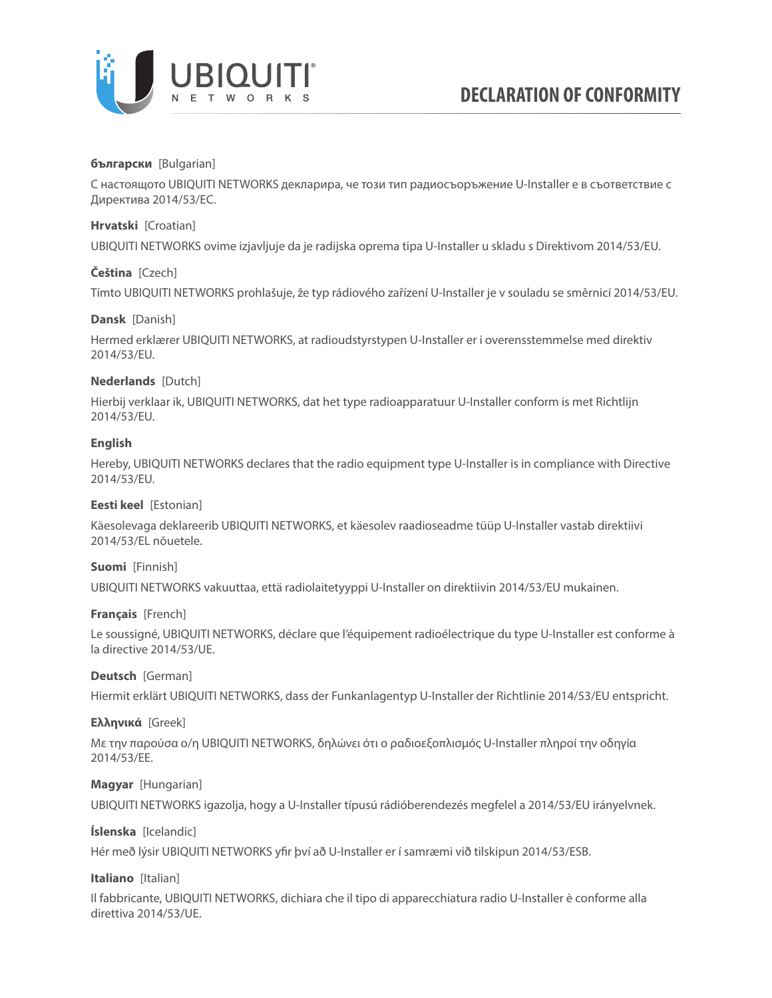

### **български** [Bulgarian]

С настоящото UBIQUITI NETWORKS декларира, че този тип радиосъоръжение U-Installer е в съответствие с Директива 2014/53/ЕС.

### **Hrvatski** [Croatian]

UBIQUITI NETWORKS ovime izjavljuje da je radijska oprema tipa U-Installer u skladu s Direktivom 2014/53/EU.

# **Čeština** [Czech]

Tímto UBIQUITI NETWORKS prohlašuje, že typ rádiového zařízení U-Installer je v souladu se směrnicí 2014/53/EU.

### **Dansk** [Danish]

Hermed erklærer UBIQUITI NETWORKS, at radioudstyrstypen U-Installer er i overensstemmelse med direktiv 2014/53/EU.

# **Nederlands** [Dutch]

Hierbij verklaar ik, UBIQUITI NETWORKS, dat het type radioapparatuur U-Installer conform is met Richtlijn 2014/53/EU.

# **English**

Hereby, UBIQUITI NETWORKS declares that the radio equipment type U-Installer is in compliance with Directive 2014/53/EU.

### **Eesti keel** [Estonian]

Käesolevaga deklareerib UBIQUITI NETWORKS, et käesolev raadioseadme tüüp U-Installer vastab direktiivi 2014/53/EL nõuetele.

### **Suomi** [Finnish]

UBIQUITI NETWORKS vakuuttaa, että radiolaitetyyppi U-Installer on direktiivin 2014/53/EU mukainen.

### **Français** [French]

Le soussigné, UBIQUITI NETWORKS, déclare que l'équipement radioélectrique du type U-Installer est conforme à la directive 2014/53/UE.

### **Deutsch** [German]

Hiermit erklärt UBIQUITI NETWORKS, dass der Funkanlagentyp U-Installer der Richtlinie 2014/53/EU entspricht.

### **Ελληνικά** [Greek]

Με την παρούσα ο/η UBIQUITI NETWORKS, δηλώνει ότι ο ραδιοεξοπλισμός U-Installer πληροί την οδηγία 2014/53/ΕΕ.

### **Magyar** [Hungarian]

UBIQUITI NETWORKS igazolja, hogy a U-Installer típusú rádióberendezés megfelel a 2014/53/EU irányelvnek.

# **Íslenska** [Icelandic]

Hér með lýsir UBIQUITI NETWORKS yfir því að U-Installer er í samræmi við tilskipun 2014/53/ESB.

### **Italiano** [Italian]

Il fabbricante, UBIQUITI NETWORKS, dichiara che il tipo di apparecchiatura radio U-Installer è conforme alla direttiva 2014/53/UE.